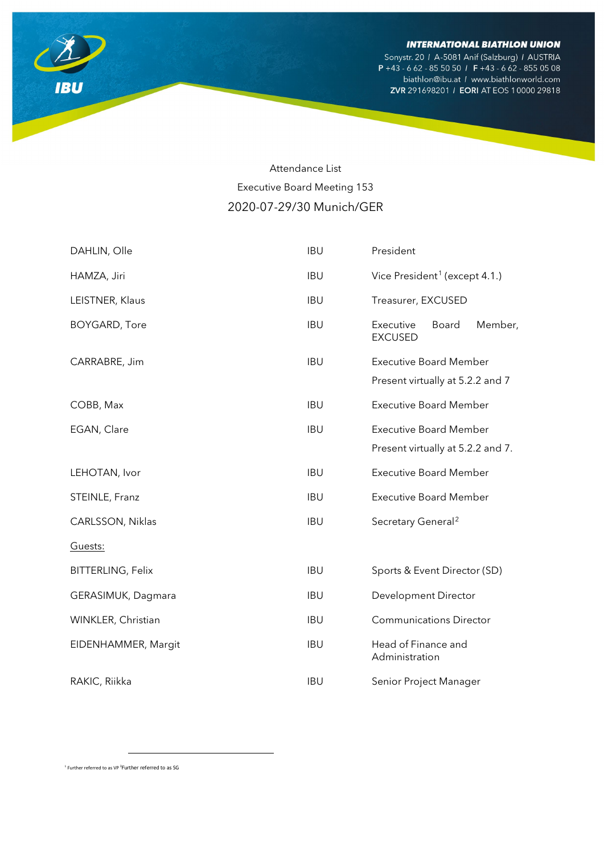Sonystr. 20 / A-5081 Anif (Salzburg) / AUSTRIA P +43 - 6 62 - 85 50 50 / F +43 - 6 62 - 855 05 08 biathlon@ibu.at / www.biathlonworld.com ZVR 291698201 / EORI AT EOS 10000 29818



# Attendance List Executive Board Meeting 153 2020-07-29/30 Munich/GER

| DAHLIN, Olle             | <b>IBU</b> | President                                       |
|--------------------------|------------|-------------------------------------------------|
| HAMZA, Jiri              | <b>IBU</b> | Vice President <sup>1</sup> (except 4.1.)       |
| LEISTNER, Klaus          | <b>IBU</b> | Treasurer, EXCUSED                              |
| <b>BOYGARD, Tore</b>     | <b>IBU</b> | Executive<br>Member,<br>Board<br><b>EXCUSED</b> |
| CARRABRE, Jim            | <b>IBU</b> | <b>Executive Board Member</b>                   |
|                          |            | Present virtually at 5.2.2 and 7                |
| COBB, Max                | <b>IBU</b> | <b>Executive Board Member</b>                   |
| EGAN, Clare              | <b>IBU</b> | <b>Executive Board Member</b>                   |
|                          |            | Present virtually at 5.2.2 and 7.               |
| LEHOTAN, Ivor            | <b>IBU</b> | <b>Executive Board Member</b>                   |
| STEINLE, Franz           | <b>IBU</b> | <b>Executive Board Member</b>                   |
| CARLSSON, Niklas         | <b>IBU</b> | Secretary General <sup>2</sup>                  |
| Guests:                  |            |                                                 |
| <b>BITTERLING, Felix</b> | <b>IBU</b> | Sports & Event Director (SD)                    |
| GERASIMUK, Dagmara       | <b>IBU</b> | Development Director                            |
| WINKLER, Christian       | <b>IBU</b> | <b>Communications Director</b>                  |
| EIDENHAMMER, Margit      | <b>IBU</b> | Head of Finance and<br>Administration           |
| RAKIC, Riikka            | <b>IBU</b> | Senior Project Manager                          |

<span id="page-0-1"></span><span id="page-0-0"></span><sup>1</sup> Further referred to as VP <sup>2</sup> Further referred to as SG

 $\overline{a}$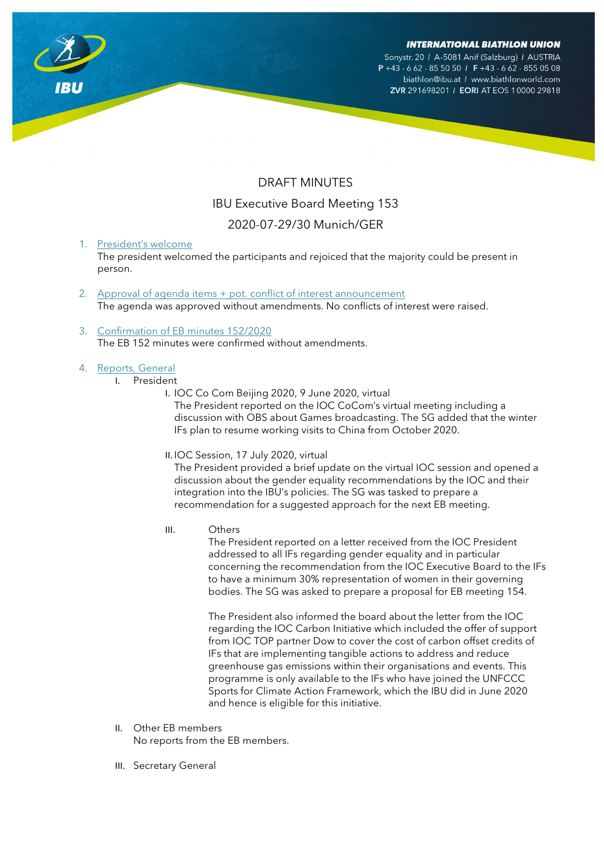Sonystr. 20 / A-5081 Anif (Salzburg) / AUSTRIA  $P + 43 - 662 - 8550501$  F + 43 - 662 - 855 05 08

biathlon@ibu.at / www.biathlonworld.com ZVR 291698201 / EORI AT EOS 10000 29818

# DRAFT MINUTES IBU Executive Board Meeting 153 2020-07-29/30 Munich/GER

# 1. President's welcome

The president welcomed the participants and rejoiced that the majority could be present in person.

- 2. Approval of agenda items + pot. conflict of interest announcement The agenda was approved without amendments. No conflicts of interest were raised.
- 3. Confirmation of EB minutes 152/2020 The EB 152 minutes were confirmed without amendments.

# 4. Reports, General

- I. President
	- I. IOC Co Com Beijing 2020, 9 June 2020, virtual

The President reported on the IOC CoCom's virtual meeting including a discussion with OBS about Games broadcasting. The SG added that the winter IFs plan to resume working visits to China from October 2020.

II. IOC Session, 17 July 2020, virtual

The President provided a brief update on the virtual IOC session and opened a discussion about the gender equality recommendations by the IOC and their integration into the IBU's policies. The SG was tasked to prepare a recommendation for a suggested approach for the next EB meeting.

III. Others

The President reported on a letter received from the IOC President addressed to all IFs regarding gender equality and in particular concerning the recommendation from the IOC Executive Board to the IFs to have a minimum 30% representation of women in their governing bodies. The SG was asked to prepare a proposal for EB meeting 154.

The President also informed the board about the letter from the IOC regarding the IOC Carbon Initiative which included the offer of support from IOC TOP partner Dow to cover the cost of carbon offset credits of IFs that are implementing tangible actions to address and reduce greenhouse gas emissions within their organisations and events. This programme is only available to the IFs who have joined the UNFCCC Sports for Climate Action Framework, which the IBU did in June 2020 and hence is eligible for this initiative.

- II. Other EB members No reports from the EB members.
- III. Secretary General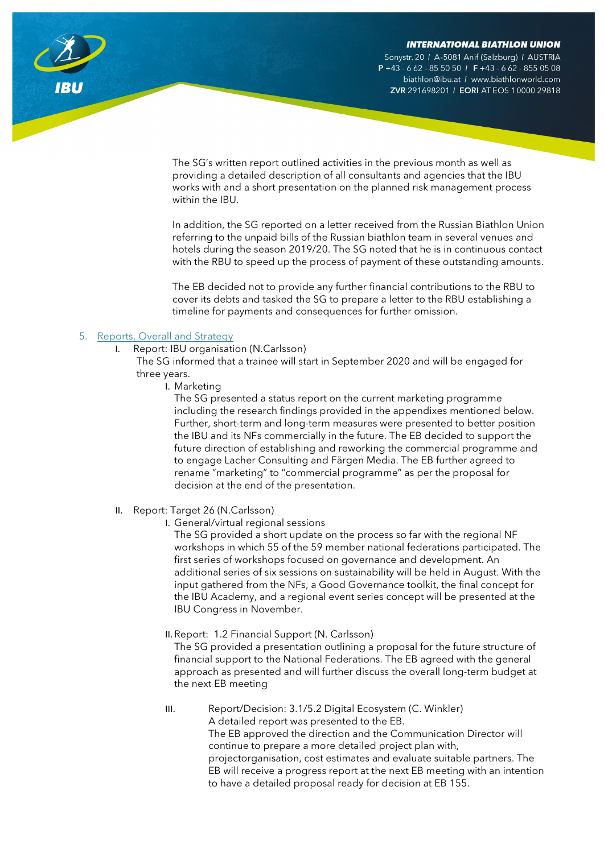Sonystr. 20 / A-5081 Anif (Salzburg) / AUSTRIA  $P + 43 - 662 - 8550501$  F +43 - 662 - 855 05 08 biathlon@ibu.at / www.biathlonworld.com ZVR 291698201 / EORI AT EOS 10000 29818

The SG's written report outlined activities in the previous month as well as providing a detailed description of all consultants and agencies that the IBU works with and a short presentation on the planned risk management process within the IBU.

In addition, the SG reported on a letter received from the Russian Biathlon Union referring to the unpaid bills of the Russian biathlon team in several venues and hotels during the season 2019/20. The SG noted that he is in continuous contact with the RBU to speed up the process of payment of these outstanding amounts.

The EB decided not to provide any further financial contributions to the RBU to cover its debts and tasked the SG to prepare a letter to the RBU establishing a timeline for payments and consequences for further omission.

## 5. Reports, Overall and Strategy

I. Report: IBU organisation (N.Carlsson)

The SG informed that a trainee will start in September 2020 and will be engaged for three years.

I. Marketing

The SG presented a status report on the current marketing programme including the research findings provided in the appendixes mentioned below. Further, short-term and long-term measures were presented to better position the IBU and its NFs commercially in the future. The EB decided to support the future direction of establishing and reworking the commercial programme and to engage Lacher Consulting and Färgen Media. The EB further agreed to rename "marketing" to "commercial programme" as per the proposal for decision at the end of the presentation.

- II. Report: Target 26 (N.Carlsson)
	- I. General/virtual regional sessions

The SG provided a short update on the process so far with the regional NF workshops in which 55 of the 59 member national federations participated. The first series of workshops focused on governance and development. An additional series of six sessions on sustainability will be held in August. With the input gathered from the NFs, a Good Governance toolkit, the final concept for the IBU Academy, and a regional event series concept will be presented at the IBU Congress in November.

II.Report: 1.2 Financial Support (N. Carlsson)

The SG provided a presentation outlining a proposal for the future structure of financial support to the National Federations. The EB agreed with the general approach as presented and will further discuss the overall long-term budget at the next EB meeting

III. Report/Decision: 3.1/5.2 Digital Ecosystem (C. Winkler) A detailed report was presented to the EB. The EB approved the direction and the Communication Director will continue to prepare a more detailed project plan with, projectorganisation, cost estimates and evaluate suitable partners. The EB will receive a progress report at the next EB meeting with an intention to have a detailed proposal ready for decision at EB 155.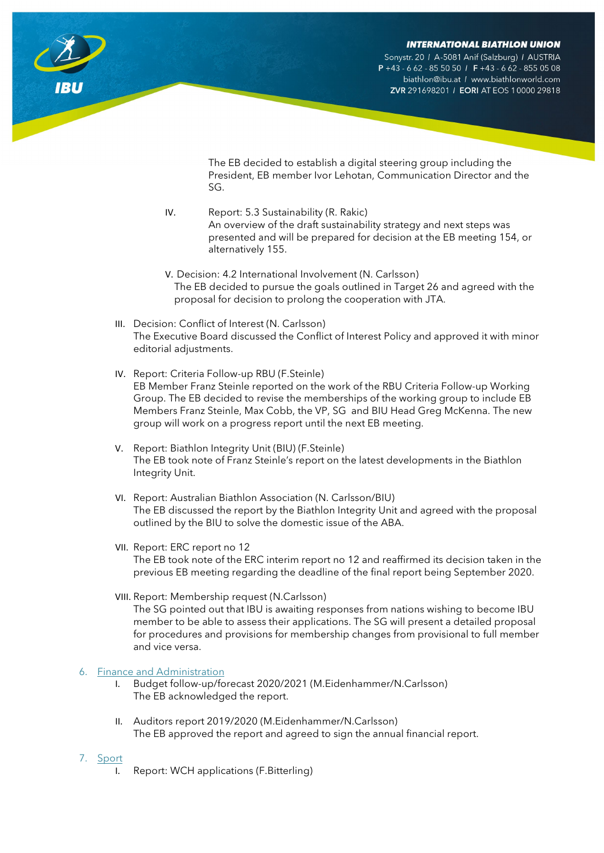Sonystr. 20 / A-5081 Anif (Salzburg) / AUSTRIA  $P + 43 - 662 - 8550501$  F + 43 - 662 - 855 05 08 biathlon@ibu.at / www.biathlonworld.com ZVR 291698201 / EORI AT EOS 10000 29818

The EB decided to establish a digital steering group including the President, EB member Ivor Lehotan, Communication Director and the SG.

- IV. Report: 5.3 Sustainability (R. Rakic) An overview of the draft sustainability strategy and next steps was presented and will be prepared for decision at the EB meeting 154, or alternatively 155.
- V. Decision: 4.2 International Involvement (N. Carlsson) The EB decided to pursue the goals outlined in Target 26 and agreed with the proposal for decision to prolong the cooperation with JTA.
- III. Decision: Conflict of Interest (N. Carlsson) The Executive Board discussed the Conflict of Interest Policy and approved it with minor editorial adjustments.
- IV. Report: Criteria Follow-up RBU (F.Steinle) EB Member Franz Steinle reported on the work of the RBU Criteria Follow-up Working Group. The EB decided to revise the memberships of the working group to include EB Members Franz Steinle, Max Cobb, the VP, SG and BIU Head Greg McKenna. The new group will work on a progress report until the next EB meeting.
- V. Report: Biathlon Integrity Unit (BIU) (F.Steinle) The EB took note of Franz Steinle's report on the latest developments in the Biathlon Integrity Unit.
- VI. Report: Australian Biathlon Association (N. Carlsson/BIU) The EB discussed the report by the Biathlon Integrity Unit and agreed with the proposal outlined by the BIU to solve the domestic issue of the ABA.
- VII. Report: ERC report no 12 The EB took note of the ERC interim report no 12 and reaffirmed its decision taken in the previous EB meeting regarding the deadline of the final report being September 2020.
- VIII. Report: Membership request (N.Carlsson) The SG pointed out that IBU is awaiting responses from nations wishing to become IBU member to be able to assess their applications. The SG will present a detailed proposal for procedures and provisions for membership changes from provisional to full member and vice versa.

## 6. Finance and Administration

- I. Budget follow-up/forecast 2020/2021 (M.Eidenhammer/N.Carlsson) The EB acknowledged the report.
- II. Auditors report 2019/2020 (M.Eidenhammer/N.Carlsson) The EB approved the report and agreed to sign the annual financial report.
- 7. Sport
	- I. Report: WCH applications (F.Bitterling)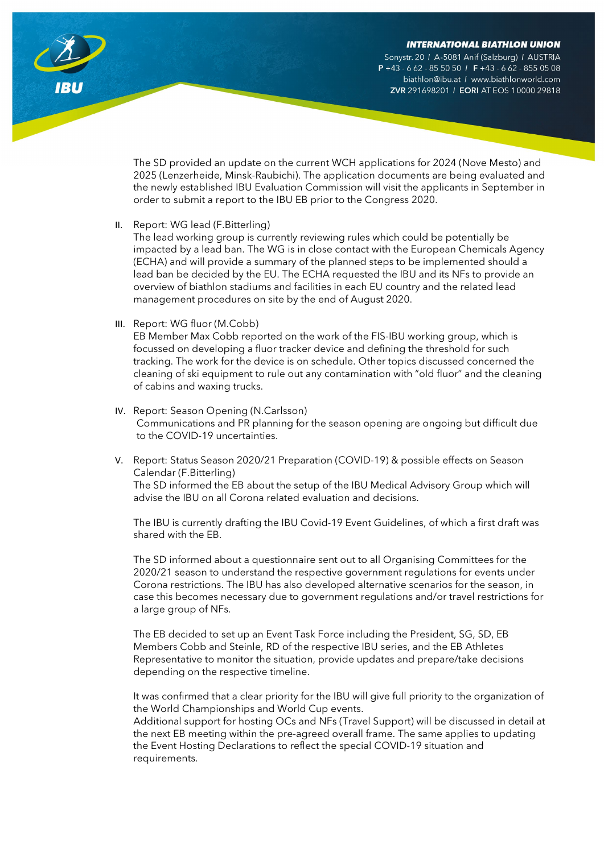Sonystr. 20 / A-5081 Anif (Salzburg) / AUSTRIA  $P + 43 - 662 - 8550501$  F +43 - 662 - 855 05 08 biathlon@ibu.at / www.biathlonworld.com ZVR 291698201 / EORI AT EOS 10000 29818

The SD provided an update on the current WCH applications for 2024 (Nove Mesto) and 2025 (Lenzerheide, Minsk-Raubichi). The application documents are being evaluated and the newly established IBU Evaluation Commission will visit the applicants in September in order to submit a report to the IBU EB prior to the Congress 2020.

II. Report: WG lead (F.Bitterling)

The lead working group is currently reviewing rules which could be potentially be impacted by a lead ban. The WG is in close contact with the European Chemicals Agency (ECHA) and will provide a summary of the planned steps to be implemented should a lead ban be decided by the EU. The ECHA requested the IBU and its NFs to provide an overview of biathlon stadiums and facilities in each EU country and the related lead management procedures on site by the end of August 2020.

III. Report: WG fluor (M.Cobb)

EB Member Max Cobb reported on the work of the FIS-IBU working group, which is focussed on developing a fluor tracker device and defining the threshold for such tracking. The work for the device is on schedule. Other topics discussed concerned the cleaning of ski equipment to rule out any contamination with "old fluor" and the cleaning of cabins and waxing trucks.

- IV. Report: Season Opening (N.Carlsson) Communications and PR planning for the season opening are ongoing but difficult due to the COVID-19 uncertainties.
- V. Report: Status Season 2020/21 Preparation (COVID-19) & possible effects on Season Calendar (F.Bitterling) The SD informed the EB about the setup of the IBU Medical Advisory Group which will advise the IBU on all Corona related evaluation and decisions.

The IBU is currently drafting the IBU Covid-19 Event Guidelines, of which a first draft was shared with the EB.

The SD informed about a questionnaire sent out to all Organising Committees for the 2020/21 season to understand the respective government regulations for events under Corona restrictions. The IBU has also developed alternative scenarios for the season, in case this becomes necessary due to government regulations and/or travel restrictions for a large group of NFs.

The EB decided to set up an Event Task Force including the President, SG, SD, EB Members Cobb and Steinle, RD of the respective IBU series, and the EB Athletes Representative to monitor the situation, provide updates and prepare/take decisions depending on the respective timeline.

It was confirmed that a clear priority for the IBU will give full priority to the organization of the World Championships and World Cup events.

Additional support for hosting OCs and NFs (Travel Support) will be discussed in detail at the next EB meeting within the pre-agreed overall frame. The same applies to updating the Event Hosting Declarations to reflect the special COVID-19 situation and requirements.